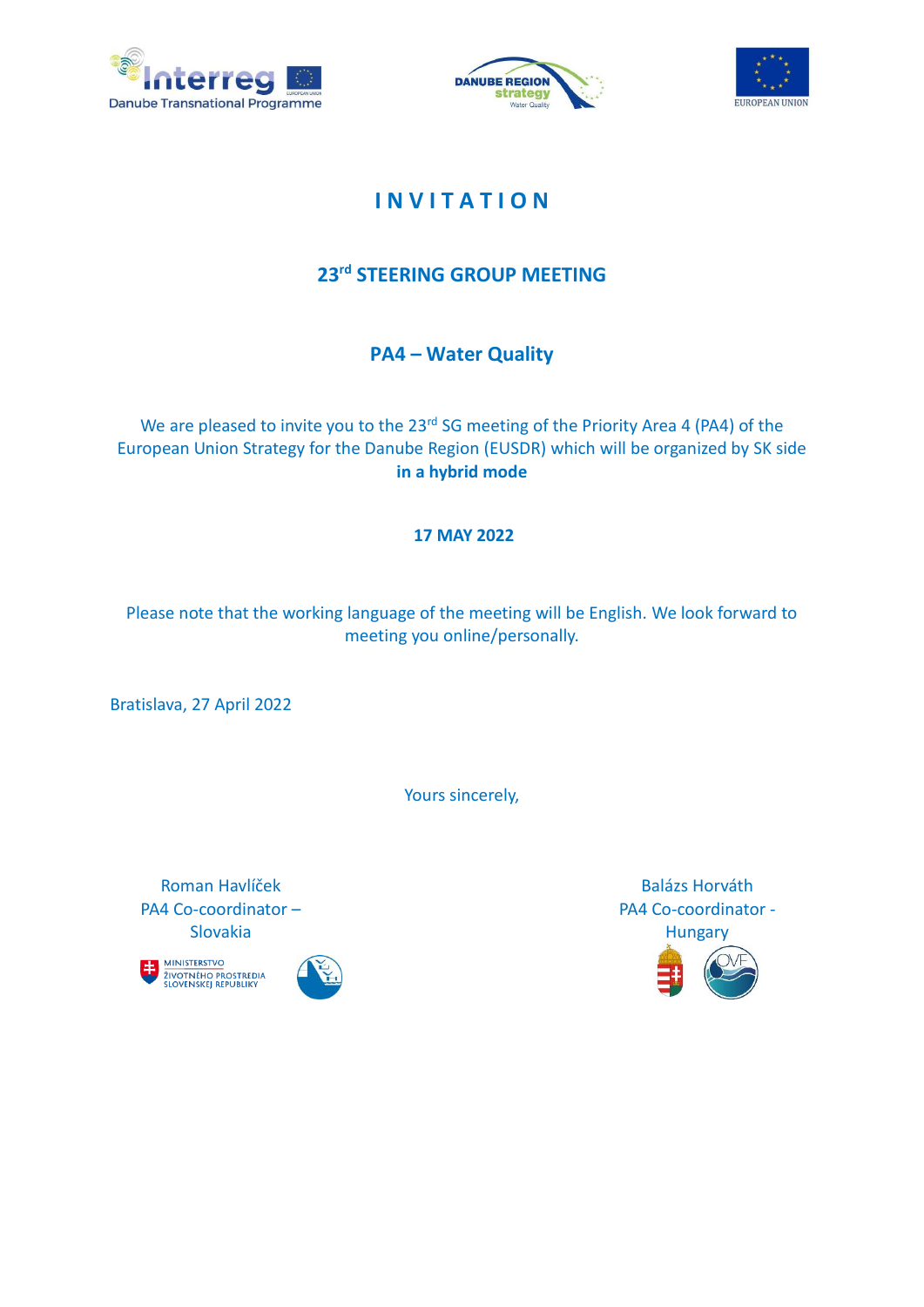





# **I N V I T A T I O N**

## **23rd STEERING GROUP MEETING**

### **PA4 – Water Quality**

We are pleased to invite you to the 23<sup>rd</sup> SG meeting of the Priority Area 4 (PA4) of the European Union Strategy for the Danube Region (EUSDR) which will be organized by SK side **in a hybrid mode**

#### **17 MAY 2022**

Please note that the working language of the meeting will be English. We look forward to meeting you online/personally.

Bratislava, 27 April 2022

Yours sincerely,

Roman Havlíček PA4 Co-coordinator – Slovakia





Balázs Horváth PA4 Co-coordinator - **Hungary**